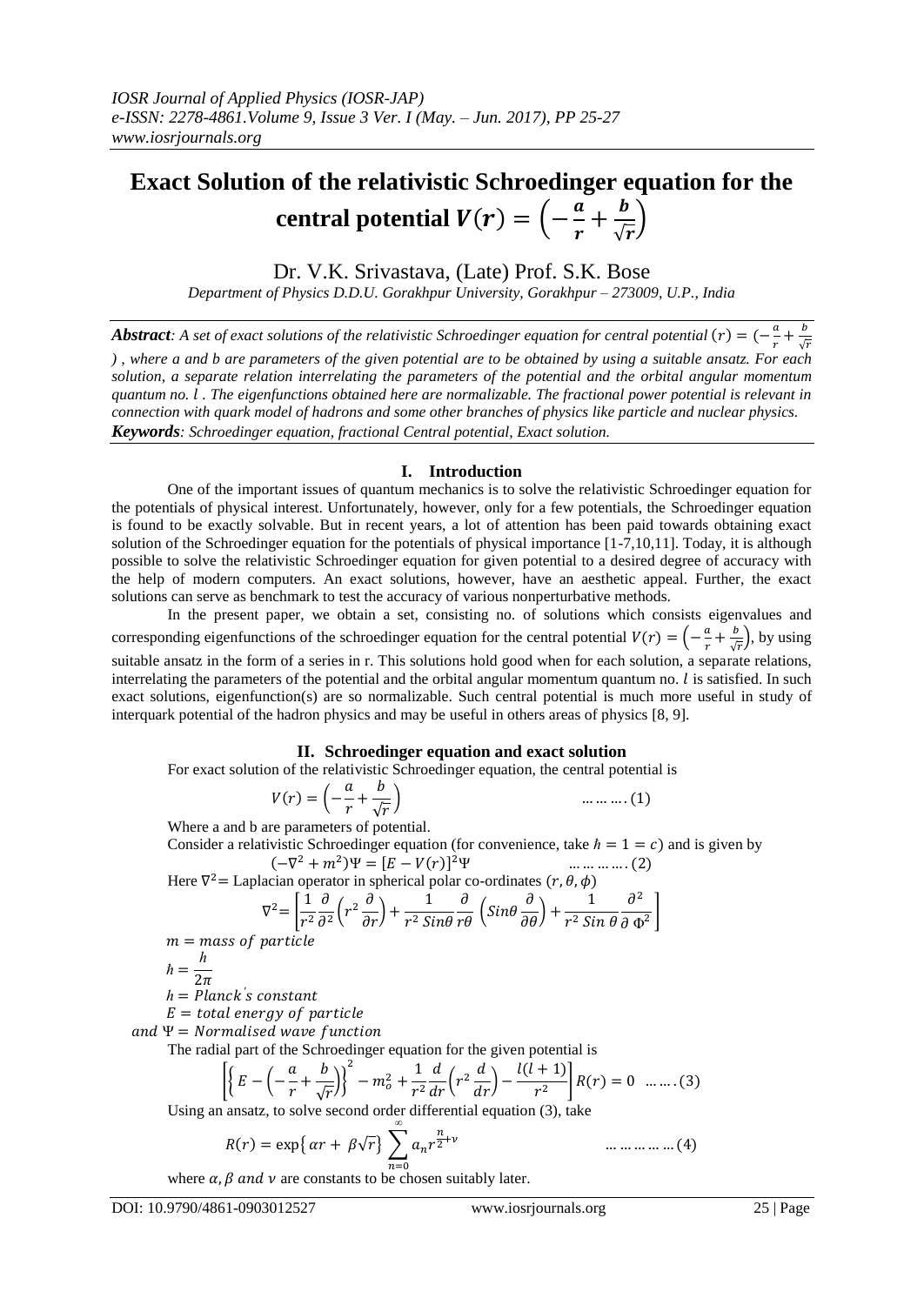# **Exact Solution of the relativistic Schroedinger equation for the central potential**  $V(r) = \left(-\frac{a}{r}\right)$  $\frac{a}{r} + \frac{b}{\sqrt{1}}$  $\frac{\nu}{\sqrt{r}}\bigg)$

Dr. V.K. Srivastava, (Late) Prof. S.K. Bose *Department of Physics D.D.U. Gorakhpur University, Gorakhpur – 273009, U.P., India*

*Abstract:* A set of exact solutions of the relativistic Schroedinger equation for central potential  $(r) = (-\frac{a}{r})$  $\frac{a}{r} + \frac{b}{\sqrt{2}}$  $\sqrt{}$ *) , where a and b are parameters of the given potential are to be obtained by using a suitable ansatz. For each solution, a separate relation interrelating the parameters of the potential and the orbital angular momentum quantum no. . The eigenfunctions obtained here are normalizable. The fractional power potential is relevant in connection with quark model of hadrons and some other branches of physics like particle and nuclear physics. Keywords: Schroedinger equation, fractional Central potential, Exact solution.* 

# **I. Introduction**

One of the important issues of quantum mechanics is to solve the relativistic Schroedinger equation for the potentials of physical interest. Unfortunately, however, only for a few potentials, the Schroedinger equation is found to be exactly solvable. But in recent years, a lot of attention has been paid towards obtaining exact solution of the Schroedinger equation for the potentials of physical importance [1-7,10,11]. Today, it is although possible to solve the relativistic Schroedinger equation for given potential to a desired degree of accuracy with the help of modern computers. An exact solutions, however, have an aesthetic appeal. Further, the exact solutions can serve as benchmark to test the accuracy of various nonperturbative methods.

In the present paper, we obtain a set, consisting no. of solutions which consists eigenvalues and corresponding eigenfunctions of the schroedinger equation for the central potential  $V(r) = \left(-\frac{a}{r}\right)^{1/2}$  $\frac{a}{r} + \frac{b}{\sqrt{a}}$  $\frac{b}{\sqrt{r}}$ , by using suitable ansatz in the form of a series in r. This solutions hold good when for each solution, a separate relations, interrelating the parameters of the potential and the orbital angular momentum quantum no.  $l$  is satisfied. In such exact solutions, eigenfunction(s) are so normalizable. Such central potential is much more useful in study of interquark potential of the hadron physics and may be useful in others areas of physics [8, 9].

## **II. Schroedinger equation and exact solution**

For exact solution of the relativistic Schroedinger equation, the central potential is

$$
V(r) = \left(-\frac{a}{r} + \frac{b}{\sqrt{r}}\right) \qquad \qquad \dots \dots \dots \dots (1)
$$

Where a and b are parameters of potential.

Consider a relativistic Schroedinger equation (for convenience, take  $h = 1 = c$ ) and is given by  $(-\nabla^2 + m^2)\Psi = [E - V(r)]^2$ ... ... ... ... . (2)

Here  $\nabla^2$  = Laplacian operator in spherical polar co-ordinates

$$
\nabla^2 = \left[ \frac{1}{r^2} \frac{\partial}{\partial^2} \left( r^2 \frac{\partial}{\partial r} \right) + \frac{1}{r^2 \sin \theta} \frac{\partial}{\partial r \partial} \left( \sin \theta \frac{\partial}{\partial \theta} \right) + \frac{1}{r^2 \sin \theta} \frac{\partial^2}{\partial \phi^2} \right]
$$

 $m =$  mass of particle

$$
\hbar = \frac{h}{2\pi}
$$

 $h = Planck's$ 

 $E = total$  energy of particle

and  $\Psi$  = Normalised wave function

The radial part of the Schroedinger equation for the given potential is

$$
\left[ \left\{ E - \left( -\frac{a}{r} + \frac{b}{\sqrt{r}} \right) \right\}^2 - m_o^2 + \frac{1}{r^2} \frac{d}{dr} \left( r^2 \frac{d}{dr} \right) - \frac{l(l+1)}{r^2} \right] R(r) = 0 \quad \dots \dots (3)
$$

Using an ansatz, to solve second order differential equation (3), take 

$$
R(r) = \exp\{ \alpha r + \beta \sqrt{r} \} \sum_{n=0}^{\infty} a_n r^{\frac{n}{2} + \nu} \qquad \dots \dots \dots \dots \dots \dots (4)
$$

where  $\alpha, \beta$  and  $\nu$  are constants to be chosen suitably later.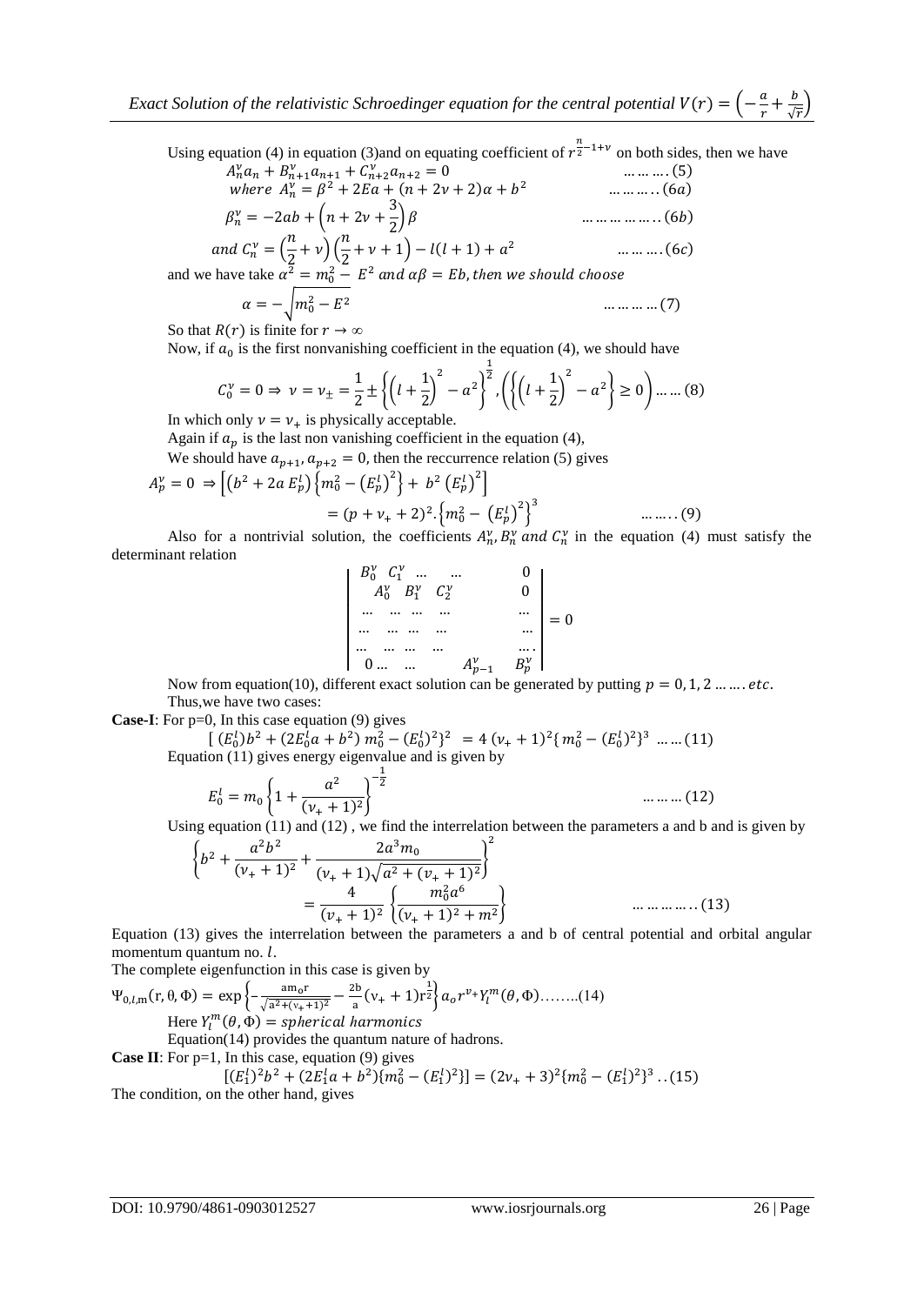Using equation (4) in equation (3)and on equating coefficient of  $r_2^{\frac{n}{2}-1+\nu}$  on both sides, then we have

$$
A_n^{\nu} a_n + B_{n+1}^{\nu} a_{n+1} + C_{n+2}^{\nu} a_{n+2} = 0
$$
 .........(5)  
where  $A_n^{\nu} = \beta^2 + 2Ea + (n+2\nu+2)\alpha + b^2$  .........(6a)  

$$
B_n^{\nu} = \beta^2 + (n+2\nu+2)\alpha + (n+2\nu+2)\alpha + (n+2\nu+2)\alpha + (n+2\nu+2)\alpha + (n+2\nu+2)\alpha + (n+2\nu+2)\alpha + (n+2\nu+2)\alpha + (n+2\nu+2)\alpha + (n+2\nu+2)\alpha + (n+2\nu+2)\alpha + (n+2\nu+2)\alpha + (n+2\nu+2)\alpha + (n+2\nu+2)\alpha + (n+2\nu+2)\alpha + (n+2\nu+2)\alpha + (n+2\nu+2)\alpha + (n+2\nu+2)\alpha + (n+2\nu+2)\alpha + (n+2\nu+2)\alpha + (n+2\nu+2)\alpha + (n+2\nu+2)\alpha + (n+2\nu+2)\alpha + (n+2\nu+2)\alpha + (n+2\nu+2)\alpha + (n+2\nu+2)\alpha + (n+2\nu+2)\alpha + (n+2\nu+2)\alpha + (n+2\nu+2)\alpha + (n+2\nu+2)\alpha + (n+2\nu+2)\alpha + (n+2\nu+2)\alpha + (n+2\nu+2)\alpha + (n+2\nu+2)\alpha + (n+2\nu+2)\alpha + (n+2\nu+2)\alpha + (n+2\nu+2)\alpha + (n+2\nu+2)\alpha + (n+2\nu+2)\alpha + (n+2\nu+2)\alpha + (n+2\nu+2)\alpha + (n+2\nu+2)\alpha + (n+2\nu+2)\alpha + (n+2\nu+2)\alpha + (n+2\nu+2)\alpha + (n+2\nu+2)\alpha + (n+2\nu+2)\alpha + (n+2\nu+2)\alpha + (n+2\nu+2)\alpha + (n+2\nu+2)\alpha + (n+2\nu+2)\alpha + (n+2\nu+2)\alpha + (n+2\nu+2)\alpha + (n+2\nu+2)\alpha + (n+2\nu+2)\alpha + (n+2\nu+2)\alpha + (n+2\nu+2)\alpha + (n+2\nu+2)\alpha + (n+2\nu+2)\alpha + (n+2
$$

 

and 
$$
C_n^v = \left(\frac{n}{2} + v\right)\left(\frac{n}{2} + v + 1\right) - l(l+1) + a^2
$$
 .........(6c)  
by (d)  $x^2 - v^2 = L^2$  and  $x^0 = L^2$  is the sum of  $x^1 + 1$  are

and we have take  $\alpha^2 = m_0^2 - E^2$ 

$$
\alpha = -\sqrt{m_0^2 - E^2} \qquad \qquad \dots \dots \dots \dots \dots (7)
$$

So that  $R(r)$  is finite for  $r \to \infty$ 

Now, if  $a_0$  is the first nonvanishing coefficient in the equation (4), we should have

$$
C_0^{\nu} = 0 \Rightarrow \nu = \nu_{\pm} = \frac{1}{2} \pm \left\{ \left( l + \frac{1}{2} \right)^2 - a^2 \right\}^{\frac{1}{2}}, \left( \left\{ \left( l + \frac{1}{2} \right)^2 - a^2 \right\} \ge 0 \right) \dots \dots (8)
$$

In which only  $v = v_+$  is physically acceptable.

Again if  $a_p$  is the last non vanishing coefficient in the equation (4),

We should have  $a_{p+1}$ ,  $a_{p+2} = 0$ , then the reccurrence relation (5) gives

$$
A_p^{\nu} = 0 \Rightarrow \left[ \left( b^2 + 2a E_p^l \right) \left\{ m_0^2 - \left( E_p^l \right)^2 \right\} + b^2 \left( E_p^l \right)^2 \right] = (p + \nu_+ + 2)^2 \cdot \left\{ m_0^2 - \left( E_p^l \right)^2 \right\}^3 \qquad \dots \dots \dots (9)
$$

Also for a nontrivial solution, the coefficients  $A_n^{\nu}, B_n^{\nu}$  and  $C_n^{\nu}$  in the equation (4) must satisfy the determinant relation

$$
\begin{vmatrix} B_0^{\nu} & C_1^{\nu} & \dots & \dots & 0 \\ A_0^{\nu} & B_1^{\nu} & C_2^{\nu} & 0 \\ \dots & \dots & \dots & \dots & \dots \\ \dots & \dots & \dots & \dots & \dots \\ \dots & \dots & \dots & \dots & \dots \\ 0 & \dots & \dots & A_{p-1}^{\nu} & B_p^{\nu} \end{vmatrix} = 0
$$

Now from equation(10), different exact solution can be generated by putting  $p = 0, 1, 2, \dots, etc.$ Thus,we have two cases:

**Case-I**: For p=0, In this case equation (9) gives

$$
\begin{bmatrix} (E_0^l)b^2 + (2E_0^la + b^2) \, m_0^2 - (E_0^l)^2 \}^2 &= 4 \, (v_+ + 1)^2 \{ \, m_0^2 - (E_0^l)^2 \}^3 \, \dots \, \dots \, (11) \end{bmatrix}
$$
\nEquation (11) gives energy eigenvalue and is given by

$$
E_0^l = m_0 \left\{ 1 + \frac{a^2}{(\nu_+ + 1)^2} \right\}^{-\frac{1}{2}}
$$
 ......... (12)

Using equation (11) and (12) , we find the interrelation between the parameters a and b and is given by

 

Equation (13) gives the interrelation between the parameters a and b of central potential and orbital angular momentum quantum no.  $l$ .

The complete eigenfunction in this case is given by

 $\Psi_{0,l,m}(r,\theta,\Phi) = \exp\left\{-\frac{a}{\sqrt{2l}}\right\}$  $\sqrt{a^2 + (v_+ + 1)^2}$  $\overline{\mathbf{c}}$  $\frac{2b}{a}(v_{+}+1)r^{\frac{1}{2}}\bigg\}a_{0}r^{v_{+}}Y_{l}^{m}(\theta,\Phi)......(14)$ Here  $Y_l^m$ 

Equation(14) provides the quantum nature of hadrons.

**Case II:** For p=1, In this case, equation (9) gives\n
$$
\frac{[CR]_{2h^2} + [CR]_{2h^2}}{[CR]_{2h^2} + [CR]_{2h^2} + [CR]_{2h^2}} = \frac{[CR]}{[CR]}
$$

 $[(E_1^l)^2b^2 + (2E_1^la + b^2)(m_0^2 - (E_1^l)^2)] = (2v_+ + 3)^2 \{m_0^2 - (E_1^l)^2\}^3$ . The condition, on the other hand, gives